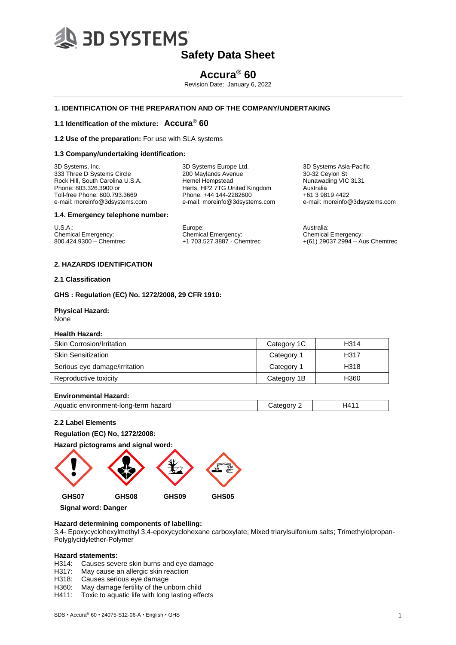

# **Accura® 60**

Revision Date: January 6, 2022

## **1. IDENTIFICATION OF THE PREPARATION AND OF THE COMPANY/UNDERTAKING**

## **1.1 Identification of the mixture: Accura® 60**

**1.2 Use of the preparation:** For use with SLA systems

#### **1.3 Company/undertaking identification:**

3D Systems, Inc. 333 Three D Systems Circle Rock Hill, South Carolina U.S.A. Phone: 803.326.3900 or Toll-free Phone: 800.793.3669 e-mail: moreinfo@3dsystems.com 3D Systems Europe Ltd. 200 Maylands Avenue Hemel Hempstead Herts, HP2 7TG United Kingdom Phone: +44 144-2282600 e-mail: moreinfo@3dsystems.com 3D Systems Asia-Pacific 30-32 Ceylon St Nunawading VIC 3131 Australia +61 3 9819 4422 e-mail: moreinfo@3dsystems.com

**1.4. Emergency telephone number:**

U.S.A.: Chemical Emergency: 800.424.9300 – Chemtrec Europe: Chemical Emergency: +1 703.527.3887 - Chemtrec Australia: Chemical Emergency: +(61) 29037.2994 – Aus Chemtrec

### **2. HAZARDS IDENTIFICATION**

#### **2.1 Classification**

**GHS : Regulation (EC) No. 1272/2008, 29 CFR 1910:**

#### **Physical Hazard:** None

#### **Health Hazard:**

| <b>Skin Corrosion/Irritation</b> | Category 1C | H314 |
|----------------------------------|-------------|------|
| <b>Skin Sensitization</b>        | Category 1  | H317 |
| Serious eye damage/irritation    | Category 1  | H318 |
| Reproductive toxicity            | Category 1B | H360 |

#### **Environmental Hazard:**

| Aquatic environment-long-term hazard | morv | H4 <sup>4</sup> |
|--------------------------------------|------|-----------------|
|                                      |      |                 |

### **2.2 Label Elements**

**Regulation (EC) No, 1272/2008:**

**Hazard pictograms and signal word:**



 **Signal word: Danger**

# **Hazard determining components of labelling:**

3,4- Epoxycyclohexylmethyl 3,4-epoxycyclohexane carboxylate; Mixed triarylsulfonium salts; Trimethylolpropan-Polyglycidylether-Polymer

#### **Hazard statements:**

H314: Causes severe skin burns and eye damage

H317: May cause an allergic skin reaction

- H318: Causes serious eye damage
- H360: May damage fertility of the unborn child
- H411: Toxic to aquatic life with long lasting effects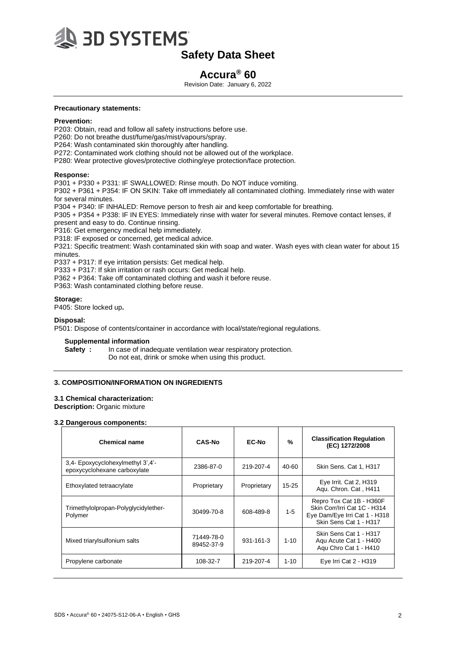

# **Accura® 60**

Revision Date: January 6, 2022

#### **Precautionary statements:**

#### **Prevention:**

P203: Obtain, read and follow all safety instructions before use.

- P260: Do not breathe dust/fume/gas/mist/vapours/spray.
- P264: Wash contaminated skin thoroughly after handling.

P272: Contaminated work clothing should not be allowed out of the workplace.

P280: Wear protective gloves/protective clothing/eye protection/face protection.

#### **Response:**

P301 + P330 + P331: IF SWALLOWED: Rinse mouth. Do NOT induce vomiting.

P302 + P361 + P354: IF ON SKIN: Take off immediately all contaminated clothing. Immediately rinse with water for several minutes.

P304 + P340: IF INHALED: Remove person to fresh air and keep comfortable for breathing.

P305 + P354 + P338: IF IN EYES: Immediately rinse with water for several minutes. Remove contact lenses, if present and easy to do. Continue rinsing.

P316: Get emergency medical help immediately.

P318: IF exposed or concerned, get medical advice.

P321: Specific treatment: Wash contaminated skin with soap and water. Wash eyes with clean water for about 15 minutes.

P337 + P317: If eye irritation persists: Get medical help.

P333 + P317: If skin irritation or rash occurs: Get medical help.

P362 + P364: Take off contaminated clothing and wash it before reuse.

P363: Wash contaminated clothing before reuse.

### **Storage:**

P405: Store locked up**.**

#### **Disposal:**

P501: Dispose of contents/container in accordance with local/state/regional regulations.

#### **Supplemental information**

**Safety :** In case of inadequate ventilation wear respiratory protection. Do not eat, drink or smoke when using this product.

# **3. COMPOSITION/INFORMATION ON INGREDIENTS**

## **3.1 Chemical characterization:**

**Description:** Organic mixture

### **3.2 Dangerous components:**

| <b>Chemical name</b>                                             | <b>CAS-No</b>            | EC-No       | $\frac{9}{6}$ | <b>Classification Regulation</b><br>(EC) 1272/2008                                                                  |
|------------------------------------------------------------------|--------------------------|-------------|---------------|---------------------------------------------------------------------------------------------------------------------|
| 3,4 Epoxycyclohexylmethyl 3',4'-<br>epoxycyclohexane carboxylate | 2386-87-0                | 219-207-4   | 40-60         | Skin Sens. Cat 1, H317                                                                                              |
| Ethoxylated tetraacrylate                                        | Proprietary              | Proprietary | $15 - 25$     | Eye Irrit. Cat 2, H319<br>Agu. Chron. Cat, H411                                                                     |
| Trimethylolpropan-Polyglycidylether-<br>Polymer                  | 30499-70-8               | 608-489-8   | $1-5$         | Repro Tox Cat 1B - H360F<br>Skin Corr/Irri Cat 1C - H314<br>Eye Dam/Eye Irri Cat 1 - H318<br>Skin Sens Cat 1 - H317 |
| Mixed triarylsulfonium salts                                     | 71449-78-0<br>89452-37-9 | 931-161-3   | $1 - 10$      | Skin Sens Cat 1 - H317<br>Agu Acute Cat 1 - H400<br>Agu Chro Cat 1 - H410                                           |
| Propylene carbonate                                              | 108-32-7                 | 219-207-4   | $1 - 10$      | Eye Irri Cat 2 - H319                                                                                               |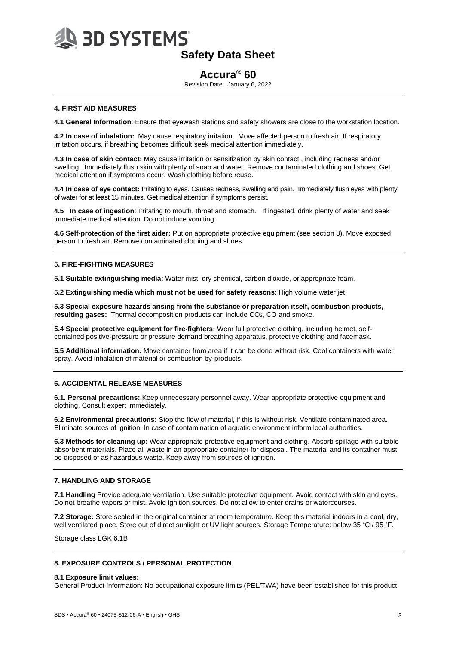

# **Accura® 60**

Revision Date: January 6, 2022

## **4. FIRST AID MEASURES**

**4.1 General Information**: Ensure that eyewash stations and safety showers are close to the workstation location.

**4.2 In case of inhalation:** May cause respiratory irritation. Move affected person to fresh air. If respiratory irritation occurs, if breathing becomes difficult seek medical attention immediately.

**4.3 In case of skin contact:** May cause irritation or sensitization by skin contact , including redness and/or swelling. Immediately flush skin with plenty of soap and water. Remove contaminated clothing and shoes. Get medical attention if symptoms occur. Wash clothing before reuse.

**4.4 In case of eye contact:** Irritating to eyes. Causes redness, swelling and pain. Immediately flush eyes with plenty of water for at least 15 minutes. Get medical attention if symptoms persist.

**4.5 In case of ingestion**: Irritating to mouth, throat and stomach. If ingested, drink plenty of water and seek immediate medical attention. Do not induce vomiting.

**4.6 Self-protection of the first aider:** Put on appropriate protective equipment (see section 8). Move exposed person to fresh air. Remove contaminated clothing and shoes.

## **5. FIRE-FIGHTING MEASURES**

**5.1 Suitable extinguishing media:** Water mist, dry chemical, carbon dioxide, or appropriate foam.

**5.2 Extinguishing media which must not be used for safety reasons**: High volume water jet.

**5.3 Special exposure hazards arising from the substance or preparation itself, combustion products, resulting gases:** Thermal decomposition products can include CO2, CO and smoke.

**5.4 Special protective equipment for fire-fighters:** Wear full protective clothing, including helmet, selfcontained positive-pressure or pressure demand breathing apparatus, protective clothing and facemask.

**5.5 Additional information:** Move container from area if it can be done without risk. Cool containers with water spray. Avoid inhalation of material or combustion by-products.

### **6. ACCIDENTAL RELEASE MEASURES**

**6.1. Personal precautions:** Keep unnecessary personnel away. Wear appropriate protective equipment and clothing. Consult expert immediately.

**6.2 Environmental precautions:** Stop the flow of material, if this is without risk. Ventilate contaminated area. Eliminate sources of ignition. In case of contamination of aquatic environment inform local authorities.

**6.3 Methods for cleaning up:** Wear appropriate protective equipment and clothing. Absorb spillage with suitable absorbent materials. Place all waste in an appropriate container for disposal. The material and its container must be disposed of as hazardous waste. Keep away from sources of ignition.

#### **7. HANDLING AND STORAGE**

**7.1 Handling** Provide adequate ventilation. Use suitable protective equipment. Avoid contact with skin and eyes. Do not breathe vapors or mist. Avoid ignition sources. Do not allow to enter drains or watercourses.

**7.2 Storage:** Store sealed in the original container at room temperature. Keep this material indoors in a cool, dry, well ventilated place. Store out of direct sunlight or UV light sources. Storage Temperature: below 35 °C / 95 °F.

Storage class LGK 6.1B

#### **8. EXPOSURE CONTROLS / PERSONAL PROTECTION**

#### **8.1 Exposure limit values:**

General Product Information: No occupational exposure limits (PEL/TWA) have been established for this product.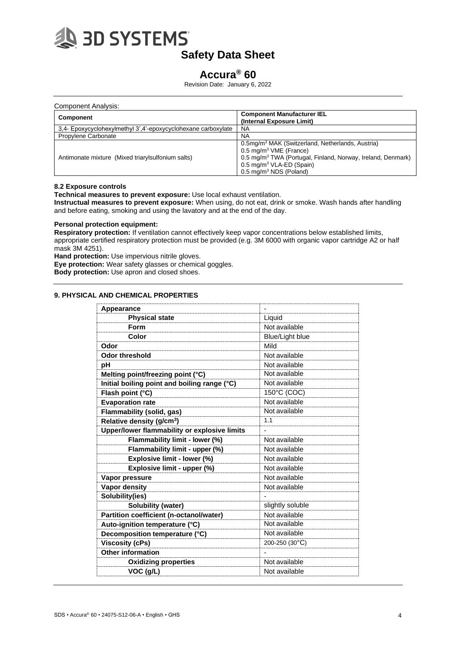

# **Accura® 60**

Revision Date: January 6, 2022

| Component Analysis:                                           |                                                                                                                                                                                                                                                                   |
|---------------------------------------------------------------|-------------------------------------------------------------------------------------------------------------------------------------------------------------------------------------------------------------------------------------------------------------------|
| <b>Component</b>                                              | <b>Component Manufacturer IEL</b><br>(Internal Exposure Limit)                                                                                                                                                                                                    |
| 3,4- Epoxycyclohexylmethyl 3',4'-epoxycyclohexane carboxylate | NA                                                                                                                                                                                                                                                                |
| Propylene Carbonate                                           | NA                                                                                                                                                                                                                                                                |
| Antimonate mixture (Mixed triary sulfonium salts)             | 0.5mg/m <sup>3</sup> MAK (Switzerland, Netherlands, Austria)<br>$0.5 \text{ mg/m}^3$ VME (France)<br>0.5 mg/m <sup>3</sup> TWA (Portugal, Finland, Norway, Ireland, Denmark)<br>0.5 mg/m <sup>3</sup> VLA-ED (Spain)<br>$0.5 \text{ mg/m}^3 \text{ NDS}$ (Poland) |

## **8.2 Exposure controls**

**Technical measures to prevent exposure:** Use local exhaust ventilation.

**Instructual measures to prevent exposure:** When using, do not eat, drink or smoke. Wash hands after handling and before eating, smoking and using the lavatory and at the end of the day.

# **Personal protection equipment:**

**Respiratory protection:** If ventilation cannot effectively keep vapor concentrations below established limits, appropriate certified respiratory protection must be provided (e.g. 3M 6000 with organic vapor cartridge A2 or half mask 3M 4251).

**Hand protection:** Use impervious nitrile gloves.

**Eye protection:** Wear safety glasses or chemical goggles.

**Body protection:** Use apron and closed shoes.

# **9. PHYSICAL AND CHEMICAL PROPERTIES**

| Appearance                                   |                        |  |
|----------------------------------------------|------------------------|--|
| <b>Physical state</b>                        | Liquid                 |  |
| Form                                         | Not available          |  |
| Color                                        | <b>Blue/Light blue</b> |  |
| Odor                                         | Mild                   |  |
| <b>Odor threshold</b>                        | Not available          |  |
| рH                                           | Not available          |  |
| Melting point/freezing point (°C)            | Not available          |  |
| Initial boiling point and boiling range (°C) | Not available          |  |
| Flash point (°C)                             | 150°C (COC)            |  |
| <b>Evaporation rate</b>                      | Not available          |  |
| <b>Flammability (solid, gas)</b>             | Not available          |  |
| Relative density (g/cm <sup>3</sup> )        | 1.1                    |  |
| Upper/lower flammability or explosive limits |                        |  |
| Flammability limit - lower (%)               | Not available          |  |
| Flammability limit - upper (%)               | Not available          |  |
| Explosive limit - lower (%)                  | Not available          |  |
| Explosive limit - upper (%)                  | Not available          |  |
| Vapor pressure                               | Not available          |  |
| <b>Vapor density</b>                         | Not available          |  |
| Solubility(ies)                              |                        |  |
| Solubility (water)                           | slightly soluble       |  |
| Partition coefficient (n-octanol/water)      | Not available          |  |
| Auto-ignition temperature (°C)               | Not available          |  |
| Decomposition temperature (°C)               | Not available          |  |
| <b>Viscosity (cPs)</b>                       | 200-250 (30°C)         |  |
| <b>Other information</b>                     |                        |  |
| <b>Oxidizing properties</b>                  | Not available          |  |
| VOC (g/L)                                    | Not available          |  |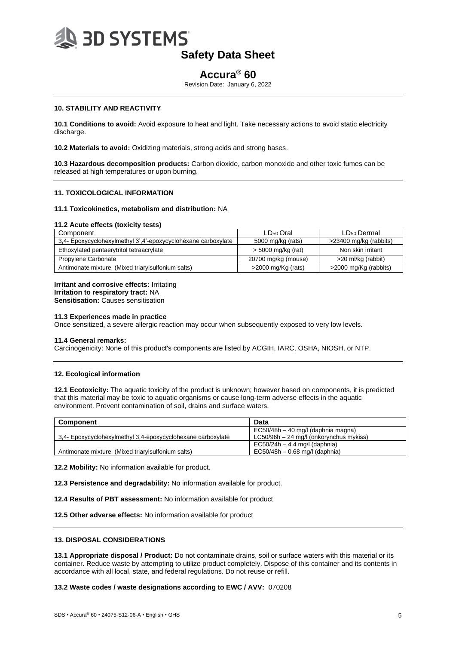

# **Accura® 60**

Revision Date: January 6, 2022

## **10. STABILITY AND REACTIVITY**

**10.1 Conditions to avoid:** Avoid exposure to heat and light. Take necessary actions to avoid static electricity discharge.

**10.2 Materials to avoid:** Oxidizing materials, strong acids and strong bases.

**10.3 Hazardous decomposition products:** Carbon dioxide, carbon monoxide and other toxic fumes can be released at high temperatures or upon burning.

#### **11. TOXICOLOGICAL INFORMATION**

#### **11.1 Toxicokinetics, metabolism and distribution:** NA

#### **11.2 Acute effects (toxicity tests)**

| Component                                                     | LD <sub>50</sub> Oral | LD <sub>50</sub> Dermal |
|---------------------------------------------------------------|-----------------------|-------------------------|
| 3,4- Epoxycyclohexylmethyl 3',4'-epoxycyclohexane carboxylate | 5000 mg/kg (rats)     | >23400 mg/kg (rabbits)  |
| Ethoxylated pentaerytritol tetraacrylate                      | $>$ 5000 mg/kg (rat)  | Non skin irritant       |
| Propylene Carbonate                                           | 20700 mg/kg (mouse)   | >20 ml/kg (rabbit)      |
| Antimonate mixture (Mixed triary sulfonium salts)             | $>$ 2000 mg/Kg (rats) | >2000 mg/Kg (rabbits)   |

#### **Irritant and corrosive effects:** Irritating **Irritation to respiratory tract:** NA

**Sensitisation: Causes sensitisation** 

#### **11.3 Experiences made in practice**

Once sensitized, a severe allergic reaction may occur when subsequently exposed to very low levels.

#### **11.4 General remarks:**

Carcinogenicity: None of this product's components are listed by ACGIH, IARC, OSHA, NIOSH, or NTP.

#### **12. Ecological information**

**12.1 Ecotoxicity:** The aquatic toxicity of the product is unknown; however based on components, it is predicted that this material may be toxic to aquatic organisms or cause long-term adverse effects in the aquatic environment. Prevent contamination of soil, drains and surface waters.

| <b>Component</b>                                            | Data                                      |
|-------------------------------------------------------------|-------------------------------------------|
|                                                             | $EC50/48h - 40$ mg/l (daphnia magna)      |
| 3.4- Epoxycyclohexylmethyl 3.4-epoxycyclohexane carboxylate | $LC50/96h - 24$ mg/l (onkorynchus mykiss) |
|                                                             | $EC50/24h - 4.4$ mg/l (daphnia)           |
| Antimonate mixture (Mixed triary sulfonium salts)           | $EC50/48h - 0.68$ mg/l (daphnia)          |

**12.2 Mobility:** No information available for product.

**12.3 Persistence and degradability:** No information available for product.

**12.4 Results of PBT assessment:** No information available for product

**12.5 Other adverse effects:** No information available for product

### **13. DISPOSAL CONSIDERATIONS**

**13.1 Appropriate disposal / Product:** Do not contaminate drains, soil or surface waters with this material or its container. Reduce waste by attempting to utilize product completely. Dispose of this container and its contents in accordance with all local, state, and federal regulations. Do not reuse or refill.

#### **13.2 Waste codes / waste designations according to EWC / AVV:** 070208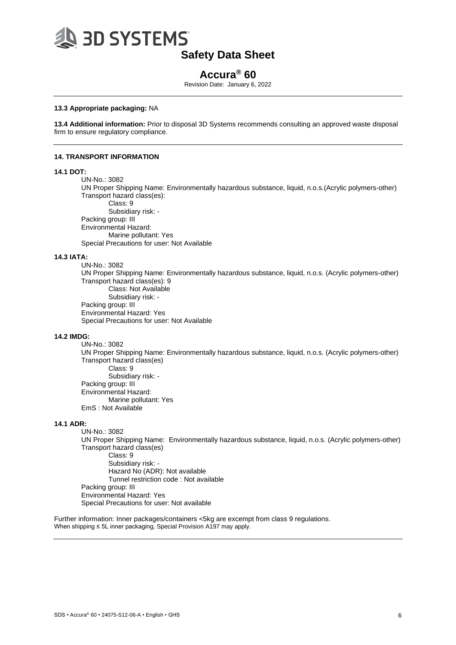

# **Accura® 60**

Revision Date: January 6, 2022

## **13.3 Appropriate packaging:** NA

**13.4 Additional information:** Prior to disposal 3D Systems recommends consulting an approved waste disposal firm to ensure regulatory compliance.

#### **14. TRANSPORT INFORMATION**

#### **14.1 DOT:**

UN-No.: 3082

UN Proper Shipping Name: Environmentally hazardous substance, liquid, n.o.s.(Acrylic polymers-other) Transport hazard class(es): Class: 9

Subsidiary risk: - Packing group: III Environmental Hazard: Marine pollutant: Yes Special Precautions for user: Not Available

### **14.3 IATA:**

UN-No.: 3082 UN Proper Shipping Name: Environmentally hazardous substance, liquid, n.o.s. (Acrylic polymers-other) Transport hazard class(es): 9 Class: Not Available Subsidiary risk: - Packing group: III Environmental Hazard: Yes Special Precautions for user: Not Available

## **14.2 IMDG:**

UN-No.: 3082 UN Proper Shipping Name: Environmentally hazardous substance, liquid, n.o.s. (Acrylic polymers-other) Transport hazard class(es) Class: 9 Subsidiary risk: - Packing group: III Environmental Hazard: Marine pollutant: Yes EmS : Not Available

### **14.1 ADR:**

UN-No.: 3082 UN Proper Shipping Name: Environmentally hazardous substance, liquid, n.o.s. (Acrylic polymers-other) Transport hazard class(es) Class: 9 Subsidiary risk: - Hazard No (ADR): Not available Tunnel restriction code : Not available Packing group: III Environmental Hazard: Yes Special Precautions for user: Not available

Further information: Inner packages/containers <5kg are excempt from class 9 regulations. When shipping ≤ 5L inner packaging, Special Provision A197 may apply.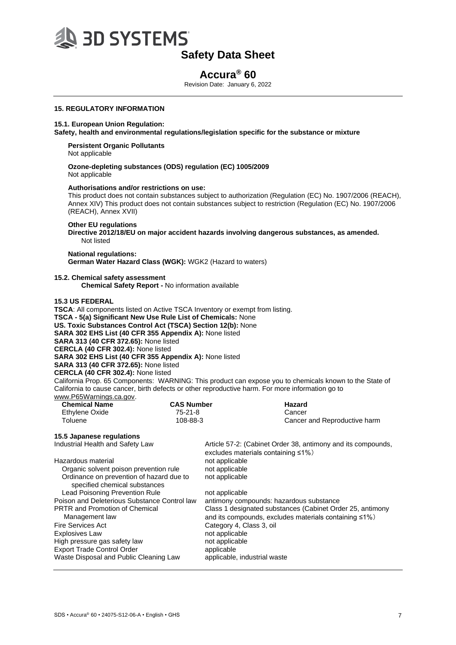

# **Accura® 60**

Revision Date: January 6, 2022

# **15. REGULATORY INFORMATION**

#### **15.1. European Union Regulation:**

**Safety, health and environmental regulations/legislation specific for the substance or mixture**

**Persistent Organic Pollutants** Not applicable

**Ozone-depleting substances (ODS) regulation (EC) 1005/2009**  Not applicable

#### **Authorisations and/or restrictions on use:**

This product does not contain substances subject to authorization (Regulation (EC) No. 1907/2006 (REACH), Annex XIV) This product does not contain substances subject to restriction (Regulation (EC) No. 1907/2006 (REACH), Annex XVII)

#### **Other EU regulations**

**Directive 2012/18/EU on major accident hazards involving dangerous substances, as amended.** Not listed

# **National regulations:**

**German Water Hazard Class (WGK):** WGK2 (Hazard to waters)

#### **15.2. Chemical safety assessment**

**Chemical Safety Report -** No information available

#### **15.3 US FEDERAL**

**TSCA**: All components listed on Active TSCA Inventory or exempt from listing. **TSCA - 5(a) Significant New Use Rule List of Chemicals:** None **US. Toxic Substances Control Act (TSCA) Section 12(b):** None **SARA 302 EHS List (40 CFR 355 Appendix A):** None listed **SARA 313 (40 CFR 372.65):** None listed **CERCLA (40 CFR 302.4):** None listed **SARA 302 EHS List (40 CFR 355 Appendix A):** None listed **SARA 313 (40 CFR 372.65):** None listed **CERCLA (40 CFR 302.4):** None listed California Prop. 65 Components: WARNING: This product can expose you to chemicals known to the State of California to cause cancer, birth defects or other reproductive harm. For more information go to

www.P65Warnings.ca.gov

| <b>CAS Number</b><br>75-21-8                 | Hazard<br>Cancer                                                                                                                     |
|----------------------------------------------|--------------------------------------------------------------------------------------------------------------------------------------|
| 108-88-3                                     | Cancer and Reproductive harm                                                                                                         |
|                                              |                                                                                                                                      |
|                                              | Article 57-2: (Cabinet Order 38, antimony and its compounds,<br>excludes materials containing $\leq 1\%$ )                           |
|                                              |                                                                                                                                      |
|                                              |                                                                                                                                      |
| Ordinance on prevention of hazard due to     |                                                                                                                                      |
|                                              |                                                                                                                                      |
| Poison and Deleterious Substance Control law | antimony compounds: hazardous substance                                                                                              |
|                                              | Class 1 designated substances (Cabinet Order 25, antimony<br>and its compounds, excludes materials containing ≤1%)                   |
|                                              |                                                                                                                                      |
|                                              |                                                                                                                                      |
|                                              |                                                                                                                                      |
| applicable                                   |                                                                                                                                      |
|                                              | applicable, industrial waste                                                                                                         |
|                                              | not applicable<br>not applicable<br>not applicable<br>not applicable<br>Category 4, Class 3, oil<br>not applicable<br>not applicable |